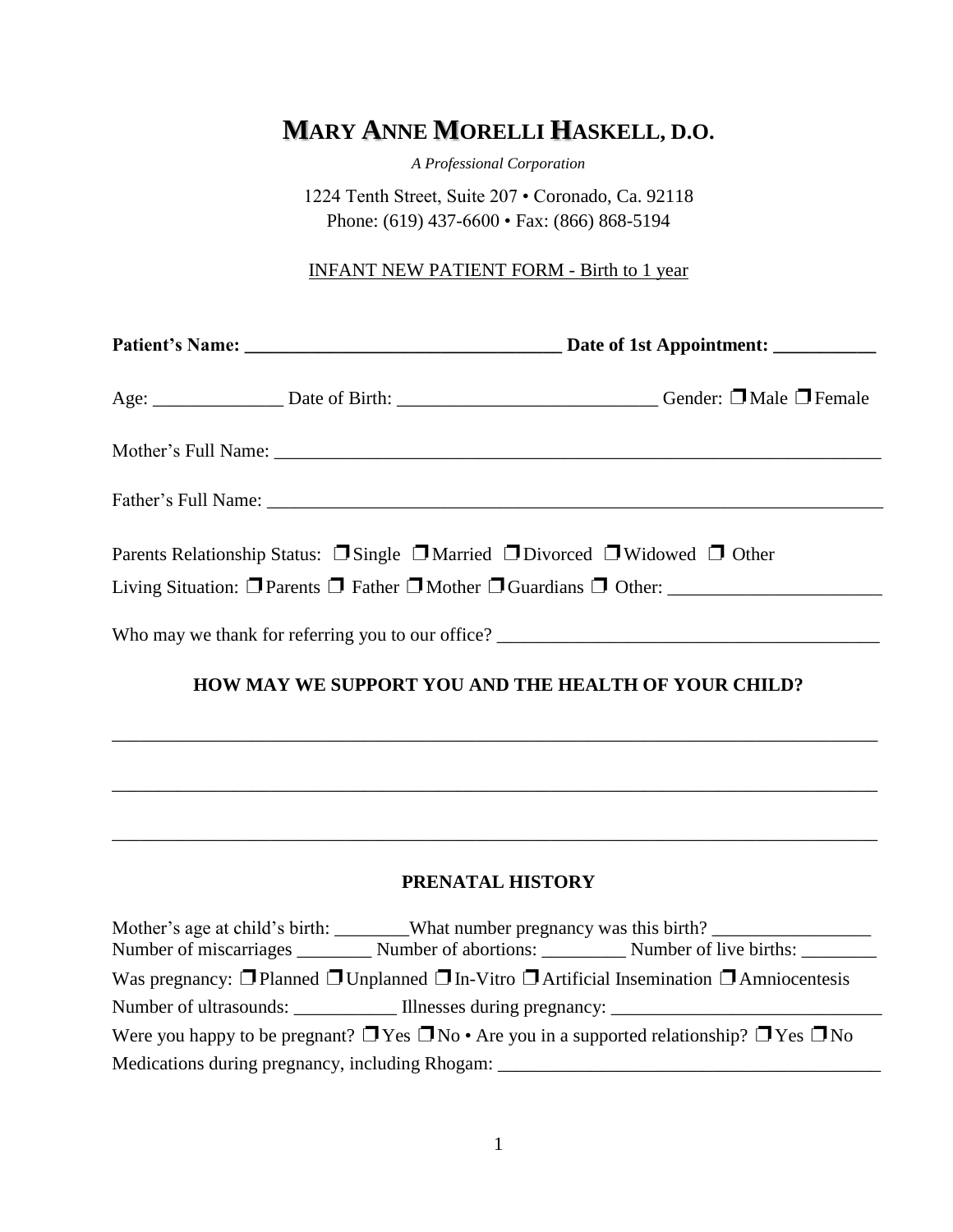# **MARY ANNE MORELLI HASKELL, D.O.**

*A Professional Corporation*

1224 Tenth Street, Suite 207 • Coronado, Ca. 92118 Phone: (619) 437-6600 • Fax: (866) 868-5194

INFANT NEW PATIENT FORM - Birth to 1 year

| Parents Relationship Status: $\Box$ Single $\Box$ Married $\Box$ Divorced $\Box$ Widowed $\Box$ Other |                                                                                   |
|-------------------------------------------------------------------------------------------------------|-----------------------------------------------------------------------------------|
|                                                                                                       |                                                                                   |
| HOW MAY WE SUPPORT YOU AND THE HEALTH OF YOUR CHILD?                                                  |                                                                                   |
|                                                                                                       |                                                                                   |
|                                                                                                       | ,我们也不能在这里的时候,我们也不能在这里的时候,我们也不能会在这里的时候,我们也不能会在这里的时候,我们也不能会在这里的时候,我们也不能会在这里的时候,我们也不 |
|                                                                                                       |                                                                                   |

# **PRENATAL HISTORY**

|                                                                                                                       |  | Mother's age at child's birth: What number pregnancy was this birth?<br>Number of miscarriages ___________ Number of abortions: ___________ Number of live births: ________ |  |
|-----------------------------------------------------------------------------------------------------------------------|--|-----------------------------------------------------------------------------------------------------------------------------------------------------------------------------|--|
|                                                                                                                       |  | Was pregnancy: $\Box$ Planned $\Box$ Unplanned $\Box$ In-Vitro $\Box$ Artificial Insemination $\Box$ Amniocentesis                                                          |  |
|                                                                                                                       |  |                                                                                                                                                                             |  |
| Were you happy to be pregnant? $\Box$ Yes $\Box$ No $\cdot$ Are you in a supported relationship? $\Box$ Yes $\Box$ No |  |                                                                                                                                                                             |  |
| Medications during pregnancy, including Rhogam: _________________________________                                     |  |                                                                                                                                                                             |  |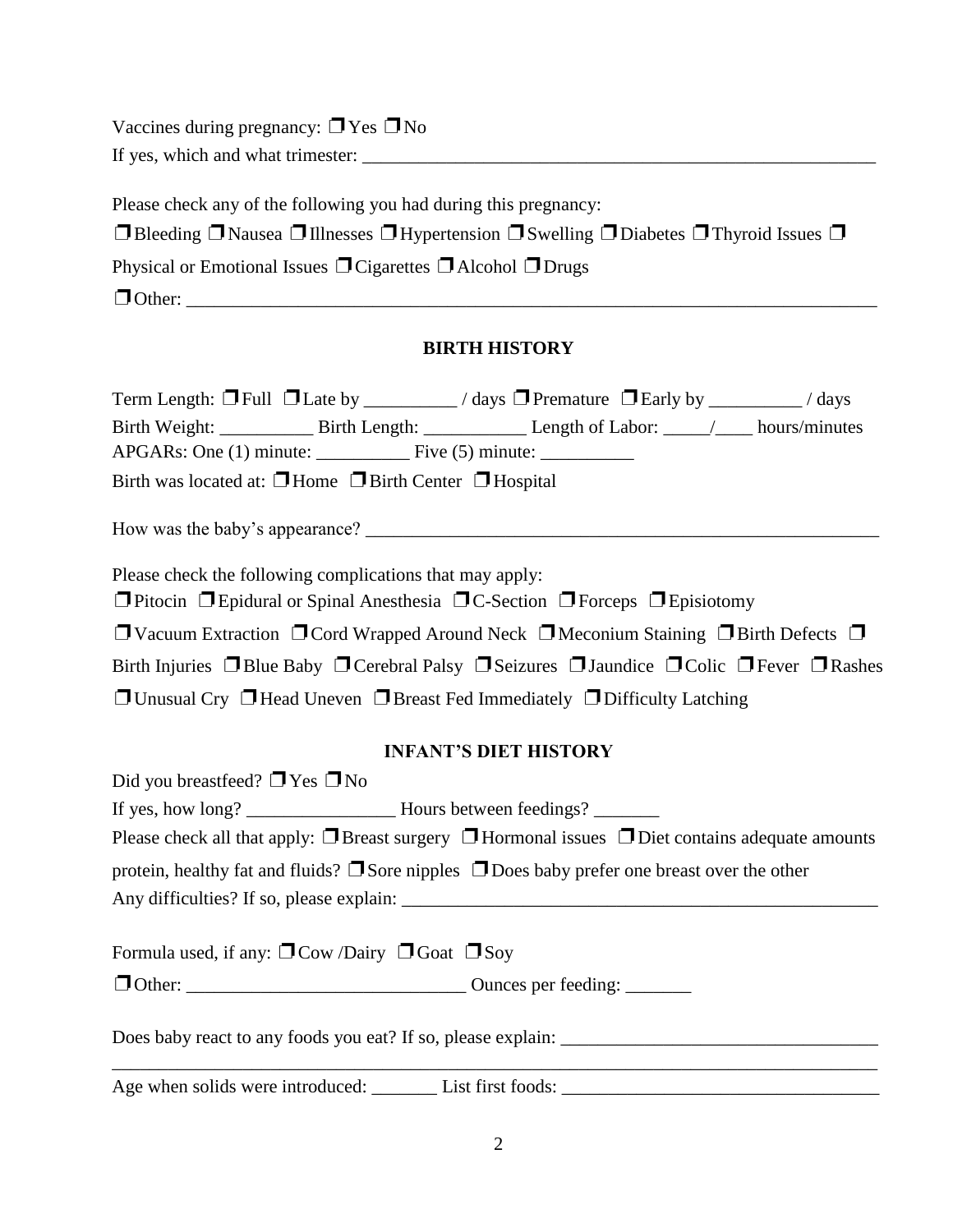Vaccines during pregnancy:  $\Box$  Yes  $\Box$  No If yes, which and what trimester:

Please check any of the following you had during this pregnancy: ❐Bleeding ❐Nausea ❐Illnesses ❐Hypertension ❐Swelling ❐Diabetes ❐Thyroid Issues ❐ Physical or Emotional Issues □ Cigarettes □ Alcohol □ Drugs ❐Other: \_\_\_\_\_\_\_\_\_\_\_\_\_\_\_\_\_\_\_\_\_\_\_\_\_\_\_\_\_\_\_\_\_\_\_\_\_\_\_\_\_\_\_\_\_\_\_\_\_\_\_\_\_\_\_\_\_\_\_\_\_\_\_\_\_\_\_\_\_\_\_\_\_\_

## **BIRTH HISTORY**

| Term Length: $\Box$ Full $\Box$ Late by ________/ days $\Box$ Premature $\Box$ Early by _______/ days                         |
|-------------------------------------------------------------------------------------------------------------------------------|
| Birth Weight: ______________ Birth Length: ________________ Length of Labor: _____/_____ hours/minutes                        |
|                                                                                                                               |
| Birth was located at: $\Box$ Home $\Box$ Birth Center $\Box$ Hospital                                                         |
|                                                                                                                               |
| Please check the following complications that may apply:                                                                      |
| <b>T</b> Pitocin <b>T</b> Epidural or Spinal Anesthesia <b>T</b> C-Section <b>T</b> Forceps <b>T</b> Episiotomy               |
| □ Vacuum Extraction □ Cord Wrapped Around Neck □ Meconium Staining □ Birth Defects □                                          |
| Birth Injuries $\Box$ Blue Baby $\Box$ Cerebral Palsy $\Box$ Seizures $\Box$ Jaundice $\Box$ Colic $\Box$ Fever $\Box$ Rashes |
| $\Box$ Unusual Cry $\Box$ Head Uneven $\Box$ Breast Fed Immediately $\Box$ Difficulty Latching                                |
| <b>INFANT'S DIET HISTORY</b>                                                                                                  |
| Did you breastfeed? $\Box$ Yes $\Box$ No                                                                                      |
|                                                                                                                               |
| Please check all that apply: $\Box$ Breast surgery $\Box$ Hormonal issues $\Box$ Diet contains adequate amounts               |
| protein, healthy fat and fluids? $\Box$ Sore nipples $\Box$ Does baby prefer one breast over the other                        |
|                                                                                                                               |
| Formula used, if any: $\Box$ Cow /Dairy $\Box$ Goat $\Box$ Soy                                                                |
|                                                                                                                               |
|                                                                                                                               |
|                                                                                                                               |

Age when solids were introduced: \_\_\_\_\_\_\_ List first foods: \_\_\_\_\_\_\_\_\_\_\_\_\_\_\_\_\_\_\_\_\_\_\_\_\_\_\_\_\_\_\_\_\_\_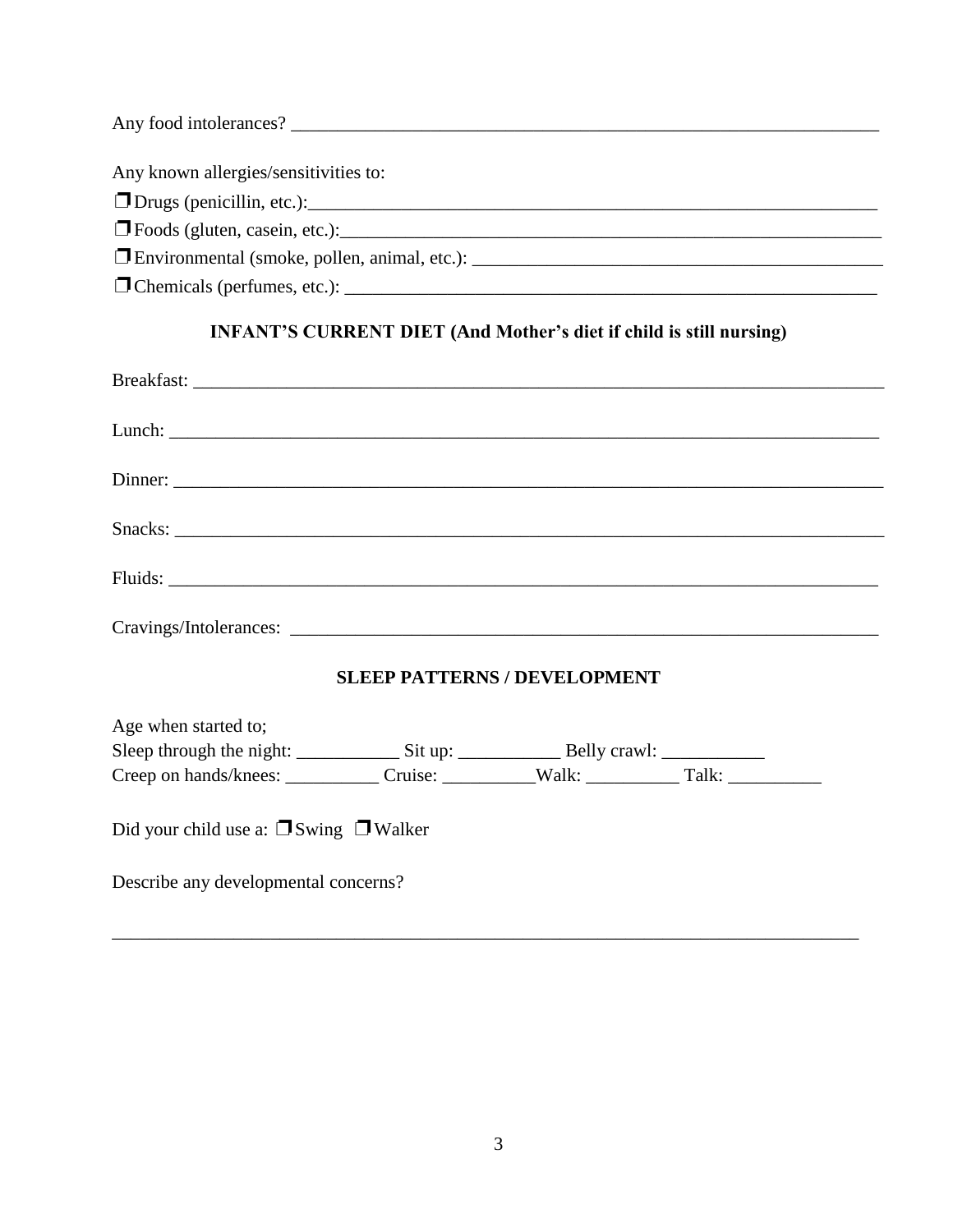# **INFANT'S CURRENT DIET (And Mother's diet if child is still nursing)**

|                                                  | <b>SLEEP PATTERNS / DEVELOPMENT</b> |  |  |
|--------------------------------------------------|-------------------------------------|--|--|
| Age when started to;                             |                                     |  |  |
|                                                  |                                     |  |  |
|                                                  |                                     |  |  |
| Did your child use a: $\Box$ Swing $\Box$ Walker |                                     |  |  |
| Describe any developmental concerns?             |                                     |  |  |

\_\_\_\_\_\_\_\_\_\_\_\_\_\_\_\_\_\_\_\_\_\_\_\_\_\_\_\_\_\_\_\_\_\_\_\_\_\_\_\_\_\_\_\_\_\_\_\_\_\_\_\_\_\_\_\_\_\_\_\_\_\_\_\_\_\_\_\_\_\_\_\_\_\_\_\_\_\_\_\_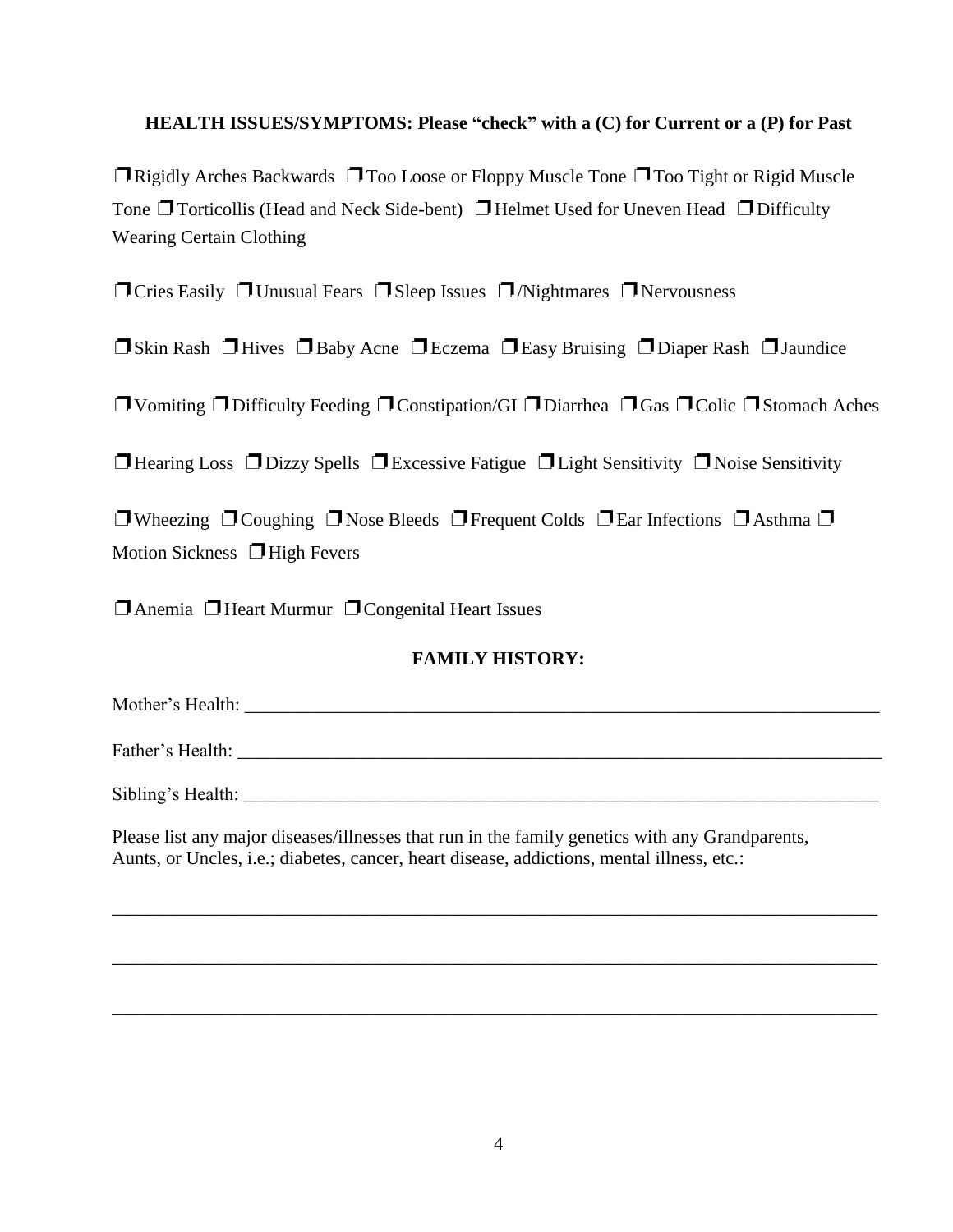#### **HEALTH ISSUES/SYMPTOMS: Please "check" with a (C) for Current or a (P) for Past**

 $\Box$  Rigidly Arches Backwards  $\Box$  Too Loose or Floppy Muscle Tone  $\Box$  Too Tight or Rigid Muscle Tone  $\Box$  Torticollis (Head and Neck Side-bent)  $\Box$  Helmet Used for Uneven Head  $\Box$  Difficulty **Wearing Certain Clothing** 

 $\Box$  Cries Easily  $\Box$  Unusual Fears  $\Box$  Sleep Issues  $\Box$  /Nightmares  $\Box$  Nervousness

□ Skin Rash □ Hives □ Baby Acne □ Eczema □ Easy Bruising □ Diaper Rash □ Jaundice

 $\Box$  Vomiting  $\Box$  Difficulty Feeding  $\Box$  Constipation/GI  $\Box$  Diarrhea  $\Box$  Gas  $\Box$  Colic  $\Box$  Stomach Aches

**T** Hearing Loss  $\Box$  Dizzy Spells  $\Box$  Excessive Fatigue  $\Box$  Light Sensitivity  $\Box$  Noise Sensitivity

**T**Wheezing  $\Box$  Coughing  $\Box$  Nose Bleeds  $\Box$  Frequent Colds  $\Box$  Ear Infections  $\Box$  Asthma  $\Box$ Motion Sickness  $\Box$  High Fevers

 $\Box$  Anemia  $\Box$  Heart Murmur  $\Box$  Congenital Heart Issues

## **FAMILY HISTORY:**

Sibling's Health:

Please list any major diseases/illnesses that run in the family genetics with any Grandparents, Aunts, or Uncles, *i.e.*; diabetes, cancer, heart disease, addictions, mental illness, etc.: